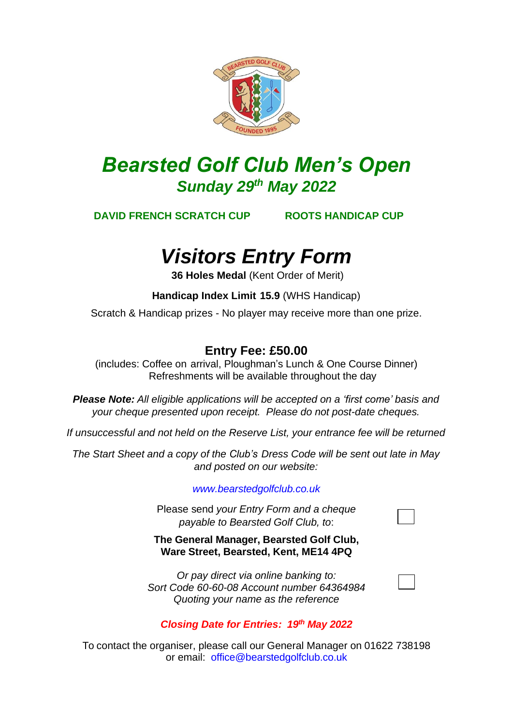

## *Bearsted Golf Club Men's Open Sunday 29 th May 2022*

**DAVID FRENCH SCRATCH CUP ROOTS HANDICAP CUP**

# *Visitors Entry Form*

 **36 Holes Medal** (Kent Order of Merit)

 **Handicap Index Limit 15.9** (WHS Handicap)

Scratch & Handicap prizes - No player may receive more than one prize.

### **Entry Fee: £50.00**

(includes: Coffee on arrival, Ploughman's Lunch & One Course Dinner) Refreshments will be available throughout the day

*Please Note: All eligible applications will be accepted on a 'first come' basis and your cheque presented upon receipt. Please do not post-date cheques.*

*If unsuccessful and not held on the Reserve List, your entrance fee will be returned*

*The Start Sheet and a copy of the Club's Dress Code will be sent out late in May and posted on our website:*

*[www.bearstedgolfclub.co.uk](http://www.bearstedgolfclub.co.uk/)*

Please send *your Entry Form and a cheque payable to Bearsted Golf Club, to*:

**The General Manager, Bearsted Golf Club, Ware Street, Bearsted, Kent, ME14 4PQ**

*Or pay direct via online banking to: Sort Code 60-60-08 Account number 64364984 Quoting your name as the reference*



#### *Closing Date for Entries: 19th May 2022*

To contact the organiser, please call our General Manager on 01622 738198 or email: [office@bearstedgolfclub.co.uk](mailto:office@bearstedgolfclub.co.uk)